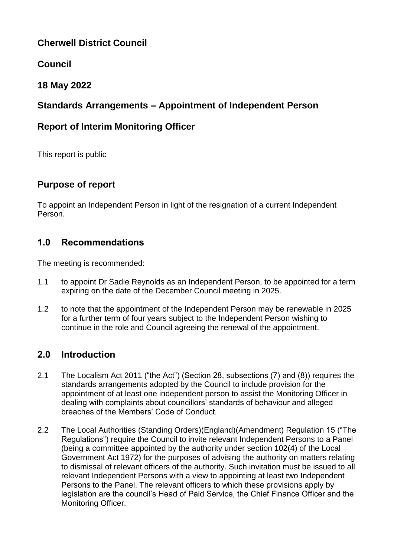# **Cherwell District Council**

# **Council**

# **18 May 2022**

# **Standards Arrangements – Appointment of Independent Person**

# **Report of Interim Monitoring Officer**

This report is public

# **Purpose of report**

To appoint an Independent Person in light of the resignation of a current Independent Person.

## **1.0 Recommendations**

The meeting is recommended:

- 1.1 to appoint Dr Sadie Reynolds as an Independent Person, to be appointed for a term expiring on the date of the December Council meeting in 2025.
- 1.2 to note that the appointment of the Independent Person may be renewable in 2025 for a further term of four years subject to the Independent Person wishing to continue in the role and Council agreeing the renewal of the appointment.

# **2.0 Introduction**

- 2.1 The Localism Act 2011 ("the Act") (Section 28, subsections (7) and (8)) requires the standards arrangements adopted by the Council to include provision for the appointment of at least one independent person to assist the Monitoring Officer in dealing with complaints about councillors' standards of behaviour and alleged breaches of the Members' Code of Conduct.
- 2.2 The Local Authorities (Standing Orders)(England)(Amendment) Regulation 15 ("The Regulations") require the Council to invite relevant Independent Persons to a Panel (being a committee appointed by the authority under section 102(4) of the Local Government Act 1972) for the purposes of advising the authority on matters relating to dismissal of relevant officers of the authority. Such invitation must be issued to all relevant Independent Persons with a view to appointing at least two Independent Persons to the Panel. The relevant officers to which these provisions apply by legislation are the council's Head of Paid Service, the Chief Finance Officer and the Monitoring Officer.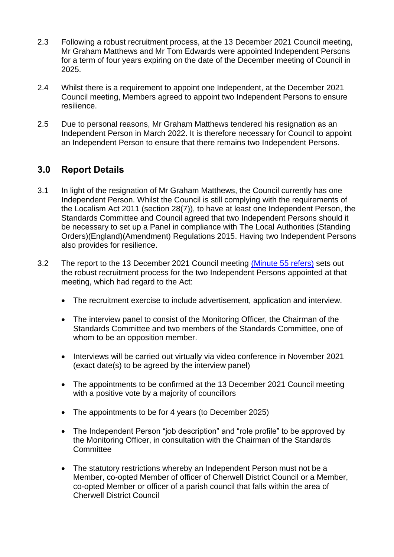- 2.3 Following a robust recruitment process, at the 13 December 2021 Council meeting, Mr Graham Matthews and Mr Tom Edwards were appointed Independent Persons for a term of four years expiring on the date of the December meeting of Council in 2025.
- 2.4 Whilst there is a requirement to appoint one Independent, at the December 2021 Council meeting, Members agreed to appoint two Independent Persons to ensure resilience.
- 2.5 Due to personal reasons, Mr Graham Matthews tendered his resignation as an Independent Person in March 2022. It is therefore necessary for Council to appoint an Independent Person to ensure that there remains two Independent Persons.

## **3.0 Report Details**

- 3.1 In light of the resignation of Mr Graham Matthews, the Council currently has one Independent Person. Whilst the Council is still complying with the requirements of the Localism Act 2011 (section 28(7)), to have at least one Independent Person, the Standards Committee and Council agreed that two Independent Persons should it be necessary to set up a Panel in compliance with The Local Authorities (Standing Orders)(England)(Amendment) Regulations 2015. Having two Independent Persons also provides for resilience.
- 3.2 The report to the 13 December 2021 Council meeting [\(Minute 55 refers\)](https://modgov.cherwell.gov.uk/ieListDocuments.aspx?CId=114&MId=3510) sets out the robust recruitment process for the two Independent Persons appointed at that meeting, which had regard to the Act:
	- The recruitment exercise to include advertisement, application and interview.
	- The interview panel to consist of the Monitoring Officer, the Chairman of the Standards Committee and two members of the Standards Committee, one of whom to be an opposition member.
	- Interviews will be carried out virtually via video conference in November 2021 (exact date(s) to be agreed by the interview panel)
	- The appointments to be confirmed at the 13 December 2021 Council meeting with a positive vote by a majority of councillors
	- The appointments to be for 4 years (to December 2025)
	- The Independent Person "job description" and "role profile" to be approved by the Monitoring Officer, in consultation with the Chairman of the Standards **Committee**
	- The statutory restrictions whereby an Independent Person must not be a Member, co-opted Member of officer of Cherwell District Council or a Member, co-opted Member or officer of a parish council that falls within the area of Cherwell District Council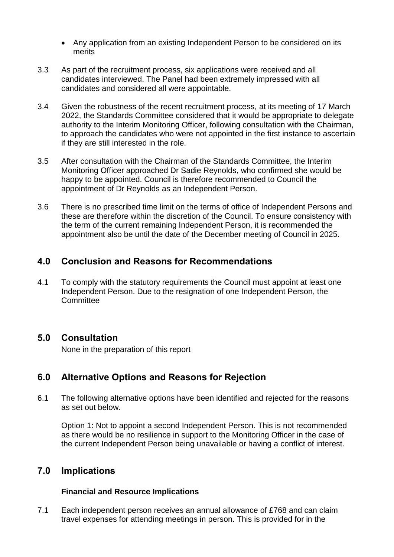- Any application from an existing Independent Person to be considered on its merits
- 3.3 As part of the recruitment process, six applications were received and all candidates interviewed. The Panel had been extremely impressed with all candidates and considered all were appointable.
- 3.4 Given the robustness of the recent recruitment process, at its meeting of 17 March 2022, the Standards Committee considered that it would be appropriate to delegate authority to the Interim Monitoring Officer, following consultation with the Chairman, to approach the candidates who were not appointed in the first instance to ascertain if they are still interested in the role.
- 3.5 After consultation with the Chairman of the Standards Committee, the Interim Monitoring Officer approached Dr Sadie Reynolds, who confirmed she would be happy to be appointed. Council is therefore recommended to Council the appointment of Dr Reynolds as an Independent Person.
- 3.6 There is no prescribed time limit on the terms of office of Independent Persons and these are therefore within the discretion of the Council. To ensure consistency with the term of the current remaining Independent Person, it is recommended the appointment also be until the date of the December meeting of Council in 2025.

## **4.0 Conclusion and Reasons for Recommendations**

4.1 To comply with the statutory requirements the Council must appoint at least one Independent Person. Due to the resignation of one Independent Person, the **Committee** 

### **5.0 Consultation**

None in the preparation of this report

## **6.0 Alternative Options and Reasons for Rejection**

6.1 The following alternative options have been identified and rejected for the reasons as set out below.

Option 1: Not to appoint a second Independent Person. This is not recommended as there would be no resilience in support to the Monitoring Officer in the case of the current Independent Person being unavailable or having a conflict of interest.

## **7.0 Implications**

### **Financial and Resource Implications**

7.1 Each independent person receives an annual allowance of £768 and can claim travel expenses for attending meetings in person. This is provided for in the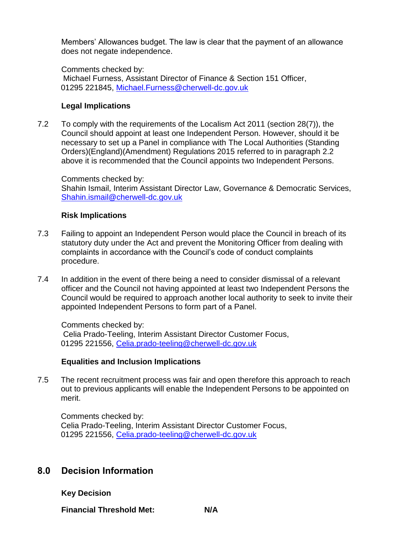Members' Allowances budget. The law is clear that the payment of an allowance does not negate independence.

Comments checked by: Michael Furness, Assistant Director of Finance & Section 151 Officer, 01295 221845, [Michael.Furness@cherwell-dc.gov.uk](mailto:Michael.Furness@cherwell-dc.gov.uk)

#### **Legal Implications**

7.2 To comply with the requirements of the Localism Act 2011 (section 28(7)), the Council should appoint at least one Independent Person. However, should it be necessary to set up a Panel in compliance with The Local Authorities (Standing Orders)(England)(Amendment) Regulations 2015 referred to in paragraph 2.2 above it is recommended that the Council appoints two Independent Persons.

Comments checked by: Shahin Ismail, Interim Assistant Director Law, Governance & Democratic Services, [Shahin.ismail@cherwell-dc.gov.uk](mailto:Shahin.ismail@cherwell-dc.gov.uk)

#### **Risk Implications**

- 7.3 Failing to appoint an Independent Person would place the Council in breach of its statutory duty under the Act and prevent the Monitoring Officer from dealing with complaints in accordance with the Council's code of conduct complaints procedure.
- 7.4 In addition in the event of there being a need to consider dismissal of a relevant officer and the Council not having appointed at least two Independent Persons the Council would be required to approach another local authority to seek to invite their appointed Independent Persons to form part of a Panel.

Comments checked by: Celia Prado-Teeling, Interim Assistant Director Customer Focus, 01295 221556, [Celia.prado-teeling@cherwell-dc.gov.uk](mailto:Celia.prado-teeling@cherwell-dc.gov.uk) 

#### **Equalities and Inclusion Implications**

7.5 The recent recruitment process was fair and open therefore this approach to reach out to previous applicants will enable the Independent Persons to be appointed on merit.

Comments checked by: Celia Prado-Teeling, Interim Assistant Director Customer Focus, 01295 221556, [Celia.prado-teeling@cherwell-dc.gov.uk](mailto:Celia.prado-teeling@cherwell-dc.gov.uk) 

### **8.0 Decision Information**

**Key Decision**

**Financial Threshold Met: N/A**